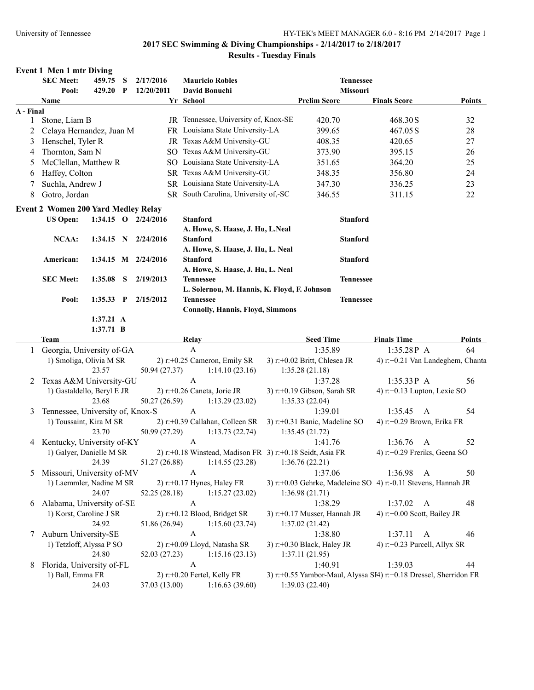### **2017 SEC Swimming & Diving Championships - 2/14/2017 to 2/18/2017 Results - Tuesday Finals**

### **Event 1 Men 1 mtr Diving**

|           | <b>SEC Meet:</b>                           | 459.75      | $\mathbf{S}$ | 2/17/2016           | <b>Mauricio Robles</b>                                    | <b>Tennessee</b>                                                  |                                  |              |               |
|-----------|--------------------------------------------|-------------|--------------|---------------------|-----------------------------------------------------------|-------------------------------------------------------------------|----------------------------------|--------------|---------------|
|           | Pool:                                      | 429.20 P    |              | 12/20/2011          | David Bonuchi                                             | Missouri                                                          |                                  |              |               |
|           | Name                                       |             |              |                     | Yr School                                                 | <b>Prelim Score</b>                                               | <b>Finals Score</b>              |              | Points        |
| A - Final |                                            |             |              |                     |                                                           |                                                                   |                                  |              |               |
| 1         | Stone, Liam B                              |             |              |                     | JR Tennessee, University of, Knox-SE                      | 420.70                                                            | 468.30S                          |              | 32            |
| 2         | Celaya Hernandez, Juan M                   |             |              |                     | FR Louisiana State University-LA                          | 399.65                                                            | 467.05 S                         |              | 28            |
| 3         | Henschel, Tyler R                          |             |              |                     | JR Texas A&M University-GU                                | 408.35                                                            | 420.65                           |              | 27            |
| 4         | Thornton, Sam N                            |             |              |                     | SO Texas A&M University-GU                                | 373.90                                                            | 395.15                           |              | 26            |
| 5         | McClellan, Matthew R                       |             |              |                     | SO Louisiana State University-LA                          | 351.65                                                            | 364.20                           |              | 25            |
| 6         | Haffey, Colton                             |             |              |                     | SR Texas A&M University-GU                                | 348.35                                                            | 356.80                           |              | 24            |
|           | Suchla, Andrew J                           |             |              |                     | SR Louisiana State University-LA                          | 347.30                                                            | 336.25                           |              | 23            |
| 8         | Gotro, Jordan                              |             |              |                     | SR South Carolina, University of,-SC                      | 346.55                                                            | 311.15                           |              | 22            |
|           | <b>Event 2 Women 200 Yard Medley Relay</b> |             |              |                     |                                                           |                                                                   |                                  |              |               |
|           | <b>US Open:</b>                            |             |              | 1:34.15 O 2/24/2016 | <b>Stanford</b>                                           | <b>Stanford</b>                                                   |                                  |              |               |
|           |                                            |             |              |                     | A. Howe, S. Haase, J. Hu, L.Neal                          |                                                                   |                                  |              |               |
|           | <b>NCAA:</b>                               | $1:34.15$ N |              | 2/24/2016           | <b>Stanford</b>                                           | <b>Stanford</b>                                                   |                                  |              |               |
|           |                                            |             |              |                     | A. Howe, S. Haase, J. Hu, L. Neal                         |                                                                   |                                  |              |               |
|           | American:                                  |             |              | 1:34.15 M 2/24/2016 | <b>Stanford</b>                                           | <b>Stanford</b>                                                   |                                  |              |               |
|           |                                            |             |              |                     | A. Howe, S. Haase, J. Hu, L. Neal                         |                                                                   |                                  |              |               |
|           | <b>SEC Meet:</b>                           | 1:35.08     | S            | 2/19/2013           | <b>Tennessee</b>                                          | <b>Tennessee</b>                                                  |                                  |              |               |
|           |                                            |             |              |                     | L. Solernou, M. Hannis, K. Floyd, F. Johnson              |                                                                   |                                  |              |               |
|           | Pool:                                      | $1:35.33$ P |              | 2/15/2012           | <b>Tennessee</b>                                          | <b>Tennessee</b>                                                  |                                  |              |               |
|           |                                            |             |              |                     | <b>Connolly, Hannis, Floyd, Simmons</b>                   |                                                                   |                                  |              |               |
|           |                                            | 1:37.21 A   |              |                     |                                                           |                                                                   |                                  |              |               |
|           |                                            | $1:37.71$ B |              |                     |                                                           |                                                                   |                                  |              |               |
|           | Team                                       |             |              |                     | <b>Relay</b>                                              | <b>Seed Time</b>                                                  | <b>Finals Time</b>               |              | <b>Points</b> |
|           | Georgia, University of-GA                  |             |              |                     | $\mathbf{A}$                                              | 1:35.89                                                           | 1:35.28P A                       |              | 64            |
|           | 1) Smoliga, Olivia M SR                    |             |              |                     | 2) r:+0.25 Cameron, Emily SR                              | 3) r:+0.02 Britt, Chlesea JR                                      | 4) r:+0.21 Van Landeghem, Chanta |              |               |
|           |                                            | 23.57       |              | 50.94 (27.37)       | 1:14.10(23.16)                                            | 1:35.28(21.18)                                                    |                                  |              |               |
| 2         | Texas A&M University-GU                    |             |              |                     | $\boldsymbol{\mathsf{A}}$                                 | 1:37.28                                                           | $1:35.33P$ A                     |              | 56            |
|           | 1) Gastaldello, Beryl E JR                 |             |              |                     | 2) r:+0.26 Caneta, Jorie JR                               | 3) r:+0.19 Gibson, Sarah SR                                       | 4) r:+0.13 Lupton, Lexie SO      |              |               |
|           |                                            | 23.68       |              | 50.27 (26.59)       | 1:13.29(23.02)                                            | 1:35.33(22.04)                                                    |                                  |              |               |
| 3         | Tennessee, University of, Knox-S           |             |              |                     | $\mathbf{A}$                                              | 1:39.01                                                           | 1:35.45                          | $\mathbf{A}$ | 54            |
|           | 1) Toussaint, Kira M SR                    |             |              |                     | 2) r:+0.39 Callahan, Colleen SR                           | 3) r:+0.31 Banic, Madeline SO                                     | 4) r:+0.29 Brown, Erika FR       |              |               |
|           |                                            | 23.70       |              | 50.99 (27.29)       | 1:13.73(22.74)                                            | 1:35.45(21.72)                                                    |                                  |              |               |
| 4         | Kentucky, University of-KY                 |             |              |                     | $\mathbf{A}$                                              | 1:41.76                                                           | 1:36.76                          | $\mathbf{A}$ | 52            |
|           | 1) Galyer, Danielle M SR                   |             |              |                     | 2) r:+0.18 Winstead, Madison FR 3) r:+0.18 Seidt, Asia FR |                                                                   | 4) r:+0.29 Freriks, Geena SO     |              |               |
|           |                                            | 24.39       |              | 51.27 (26.88)       | 1:14.55(23.28)                                            | 1:36.76(22.21)                                                    |                                  |              |               |
| 5         | Missouri, University of-MV                 |             |              |                     | A                                                         | 1:37.06                                                           | 1:36.98                          | $\mathbf{A}$ | 50            |
|           | 1) Laemmler, Nadine M SR                   |             |              |                     | $2)$ r:+0.17 Hynes, Haley FR                              | 3) r:+0.03 Gehrke, Madeleine SO 4) r:-0.11 Stevens, Hannah JR     |                                  |              |               |
|           |                                            | 24.07       |              | 52.25 (28.18)       | 1:15.27(23.02)                                            | 1:36.98(21.71)                                                    |                                  |              |               |
| 6         | Alabama, University of-SE                  |             |              |                     | $\boldsymbol{\mathsf{A}}$                                 | 1:38.29                                                           | 1:37.02 A                        |              | 48            |
|           | 1) Korst, Caroline J SR                    |             |              |                     | 2) r:+0.12 Blood, Bridget SR                              | 3) r:+0.17 Musser, Hannah JR                                      | 4) r:+0.00 Scott, Bailey JR      |              |               |
|           |                                            | 24.92       |              | 51.86 (26.94)       | 1:15.60(23.74)                                            | 1:37.02(21.42)                                                    |                                  |              |               |
| 7         | Auburn University-SE                       |             |              |                     | $\mathbf{A}$                                              | 1:38.80                                                           | 1:37.11                          | $\mathbf{A}$ | 46            |
|           | 1) Tetzloff, Alyssa P SO                   |             |              |                     | 2) r:+0.09 Lloyd, Natasha SR                              | 3) r:+0.30 Black, Haley JR                                        | 4) r:+0.23 Purcell, Allyx SR     |              |               |
|           |                                            | 24.80       |              | 52.03 (27.23)       | 1:15.16(23.13)                                            | 1:37.11(21.95)                                                    |                                  |              |               |
| 8         | Florida, University of-FL                  |             |              |                     | $\mathbf{A}$                                              | 1:40.91                                                           | 1:39.03                          |              | 44            |
|           | 1) Ball, Emma FR                           |             |              |                     | 2) r:+0.20 Fertel, Kelly FR                               | 3) r:+0.55 Yambor-Maul, Alyssa SI4) r:+0.18 Dressel, Sherridon FR |                                  |              |               |
|           |                                            | 24.03       |              | 37.03 (13.00)       | 1:16.63(39.60)                                            | 1:39.03(22.40)                                                    |                                  |              |               |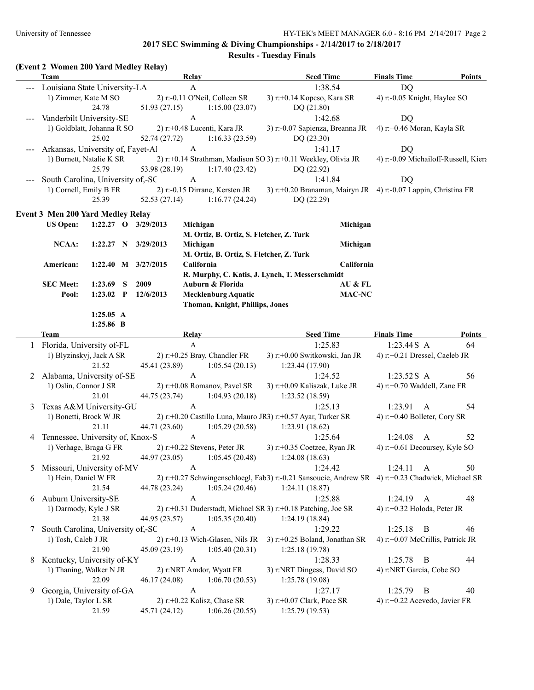**2017 SEC Swimming & Diving Championships - 2/14/2017 to 2/18/2017**

**Results - Tuesday Finals**

| (Event 2 Women 200 Yard Medley Relay) |  |  |  |
|---------------------------------------|--|--|--|
|                                       |  |  |  |

|   | <b>Team</b>                       |             |                     | Relay                 |                                          | <b>Seed Time</b>                                                                                 | <b>Finals Time</b>            | Points                               |
|---|-----------------------------------|-------------|---------------------|-----------------------|------------------------------------------|--------------------------------------------------------------------------------------------------|-------------------------------|--------------------------------------|
|   | Louisiana State University-LA     |             |                     | $\mathbf{A}$          |                                          | 1:38.54                                                                                          | <b>DQ</b>                     |                                      |
|   | 1) Zimmer, Kate M SO              |             |                     |                       | 2) r:-0.11 O'Neil, Colleen SR            | 3) r:+0.14 Kopcso, Kara SR                                                                       | 4) r:-0.05 Knight, Haylee SO  |                                      |
|   |                                   | 24.78       | 51.93(27.15)        |                       | 1:15.00(23.07)                           | DQ (21.80)                                                                                       |                               |                                      |
|   | Vanderbilt University-SE          |             |                     | $\mathbf{A}$          |                                          | 1:42.68                                                                                          | DQ                            |                                      |
|   | 1) Goldblatt, Johanna R SO        |             |                     |                       | 2) r:+0.48 Lucenti, Kara JR              | 3) r:-0.07 Sapienza, Breanna JR                                                                  | 4) r:+0.46 Moran, Kayla SR    |                                      |
|   |                                   | 25.02       | 52.74 (27.72)       |                       | 1:16.33(23.59)                           | DQ (23.30)                                                                                       |                               |                                      |
|   | Arkansas, University of, Fayet-Al |             |                     | $\mathbf{A}$          |                                          | 1:41.17                                                                                          | DQ                            |                                      |
|   | 1) Burnett, Natalie K SR          |             |                     |                       |                                          | 2) r:+0.14 Strathman, Madison SO 3) r:+0.11 Weekley, Olivia JR                                   |                               | 4) r:-0.09 Michailoff-Russell, Kiera |
|   |                                   | 25.79       | 53.98 (28.19)       |                       | 1:17.40(23.42)                           | DQ (22.92)                                                                                       |                               |                                      |
|   | South Carolina, University of,-SC |             |                     | $\boldsymbol{A}$      |                                          | 1:41.84                                                                                          | DQ                            |                                      |
|   | 1) Cornell, Emily B FR            |             |                     |                       | 2) r:-0.15 Dirrane, Kersten JR           | 3) r:+0.20 Branaman, Mairyn JR 4) r:-0.07 Lappin, Christina FR                                   |                               |                                      |
|   |                                   | 25.39       | 52.53(27.14)        |                       | 1:16.77(24.24)                           | DQ (22.29)                                                                                       |                               |                                      |
|   |                                   |             |                     |                       |                                          |                                                                                                  |                               |                                      |
|   | Event 3 Men 200 Yard Medley Relay |             |                     |                       |                                          |                                                                                                  |                               |                                      |
|   | <b>US Open:</b>                   |             | 1:22.27 O 3/29/2013 | Michigan              |                                          | Michigan                                                                                         |                               |                                      |
|   |                                   |             |                     |                       | M. Ortiz, B. Ortiz, S. Fletcher, Z. Turk |                                                                                                  |                               |                                      |
|   | NCAA:                             | 1:22.27 N   | 3/29/2013           | Michigan              |                                          | Michigan                                                                                         |                               |                                      |
|   |                                   |             |                     |                       | M. Ortiz, B. Ortiz, S. Fletcher, Z. Turk |                                                                                                  |                               |                                      |
|   | American:                         |             | 1:22.40 M 3/27/2015 |                       | California                               | California                                                                                       |                               |                                      |
|   |                                   |             |                     |                       |                                          | R. Murphy, C. Katis, J. Lynch, T. Messerschmidt                                                  |                               |                                      |
|   | <b>SEC Meet:</b>                  | $1:23.69$ S | 2009                |                       | Auburn & Florida                         | AU & FL                                                                                          |                               |                                      |
|   | Pool:                             | $1:23.02$ P | 12/6/2013           |                       | <b>Mecklenburg Aquatic</b>               | MAC-NC                                                                                           |                               |                                      |
|   |                                   |             |                     |                       | Thoman, Knight, Phillips, Jones          |                                                                                                  |                               |                                      |
|   |                                   | 1:25.05 A   |                     |                       |                                          |                                                                                                  |                               |                                      |
|   |                                   | 1:25.86 B   |                     |                       |                                          | <b>Seed Time</b>                                                                                 |                               | Points                               |
|   | Team                              |             |                     | Relay<br>$\mathbf{A}$ |                                          | 1:25.83                                                                                          | <b>Finals Time</b>            |                                      |
|   | 1 Florida, University of-FL       |             |                     |                       |                                          |                                                                                                  | $1:23.44S$ A                  | 64                                   |
|   | 1) Blyzinskyj, Jack A SR          |             |                     |                       | 2) r:+0.25 Bray, Chandler FR             | 3) r:+0.00 Switkowski, Jan JR                                                                    | 4) r:+0.21 Dressel, Caeleb JR |                                      |
|   |                                   | 21.52       | 45.41 (23.89)       | $\mathbf{A}$          | 1:05.54(20.13)                           | 1:23.44 (17.90)                                                                                  |                               |                                      |
| 2 | Alabama, University of-SE         |             |                     |                       |                                          | 1:24.52                                                                                          | 1:23.52S A                    | 56                                   |
|   | 1) Oslin, Connor J SR             |             |                     |                       | 2) r:+0.08 Romanov, Pavel SR             | 3) r:+0.09 Kaliszak, Luke JR                                                                     | 4) r:+0.70 Waddell, Zane FR   |                                      |
|   |                                   | 21.01       | 44.75 (23.74)       |                       | 1:04.93(20.18)                           | 1:23.52 (18.59)                                                                                  |                               |                                      |
| 3 | Texas A&M University-GU           |             |                     | $\mathbf{A}$          |                                          | 1:25.13                                                                                          | 1:23.91                       | 54<br>$\mathbf{A}$                   |
|   | 1) Bonetti, Brock W JR            |             |                     |                       |                                          | 2) r:+0.20 Castillo Luna, Mauro JR3) r:+0.57 Ayar, Turker SR                                     | 4) r:+0.40 Bolleter, Cory SR  |                                      |
|   |                                   | 21.11       | 44.71 (23.60)       |                       | 1:05.29(20.58)                           | 1:23.91(18.62)                                                                                   |                               |                                      |
| 4 | Tennessee, University of, Knox-S  |             |                     | $\boldsymbol{A}$      |                                          | 1:25.64                                                                                          | 1:24.08                       | 52<br>A                              |
|   | 1) Verhage, Braga G FR            |             |                     |                       | $2)$ r:+0.22 Stevens, Peter JR           | 3) r:+0.35 Coetzee, Ryan JR                                                                      |                               | 4) r:+0.61 Decoursey, Kyle SO        |
|   |                                   | 21.92       | 44.97 (23.05)       |                       | 1:05.45(20.48)                           | 1:24.08(18.63)                                                                                   |                               |                                      |
| 5 | Missouri, University of-MV        |             |                     | A                     |                                          | 1:24.42                                                                                          | 1:24.11 A                     | 50                                   |
|   | 1) Hein, Daniel W FR              |             |                     |                       |                                          | 2) r:+0.27 Schwingenschloegl, Fab3) r:-0.21 Sansoucie, Andrew SR 4) r:+0.23 Chadwick, Michael SR |                               |                                      |
|   |                                   | 21.54       | 44.78 (23.24)       |                       | 1:05.24(20.46)                           | 1:24.11(18.87)                                                                                   |                               |                                      |
| 6 | Auburn University-SE              |             |                     | $\mathbf{A}$          |                                          | 1:25.88                                                                                          | 1:24.19<br>$\mathbf{A}$       | 48                                   |
|   | 1) Darmody, Kyle J SR             |             |                     |                       |                                          | 2) r:+0.31 Duderstadt, Michael SR 3) r:+0.18 Patching, Joe SR                                    | 4) r:+0.32 Holoda, Peter JR   |                                      |
|   |                                   | 21.38       | 44.95 (23.57)       |                       | 1:05.35(20.40)                           | 1:24.19(18.84)                                                                                   |                               |                                      |
| 7 | South Carolina, University of,-SC |             |                     | A                     |                                          | 1:29.22                                                                                          | 1:25.18                       | B<br>46                              |
|   | 1) Tosh, Caleb J JR               |             |                     |                       | 2) r:+0.13 Wich-Glasen, Nils JR          | 3) r:+0.25 Boland, Jonathan SR                                                                   |                               | 4) r:+0.07 McCrillis, Patrick JR     |
|   |                                   | 21.90       | 45.09 (23.19)       |                       | 1:05.40(20.31)                           | 1:25.18(19.78)                                                                                   |                               |                                      |
| 8 | Kentucky, University of-KY        |             |                     | $\mathbf{A}$          |                                          | 1:28.33                                                                                          | 1:25.78                       | 44<br>B                              |
|   | 1) Thaning, Walker N JR           |             |                     |                       | 2) r:NRT Amdor, Wyatt FR                 | 3) r:NRT Dingess, David SO                                                                       | 4) r:NRT Garcia, Cobe SO      |                                      |
|   |                                   | 22.09       | 46.17 (24.08)       |                       | 1:06.70(20.53)                           | 1:25.78 (19.08)                                                                                  |                               |                                      |
| 9 | Georgia, University of-GA         |             |                     | $\mathbf{A}$          |                                          | 1:27.17                                                                                          | 1:25.79<br>$\overline{B}$     | 40                                   |
|   | 1) Dale, Taylor L SR              |             |                     |                       | 2) r:+0.22 Kalisz, Chase SR              | 3) r:+0.07 Clark, Pace SR                                                                        |                               | 4) $r$ : +0.22 Acevedo, Javier FR    |
|   |                                   | 21.59       | 45.71 (24.12)       |                       | 1:06.26(20.55)                           | 1:25.79 (19.53)                                                                                  |                               |                                      |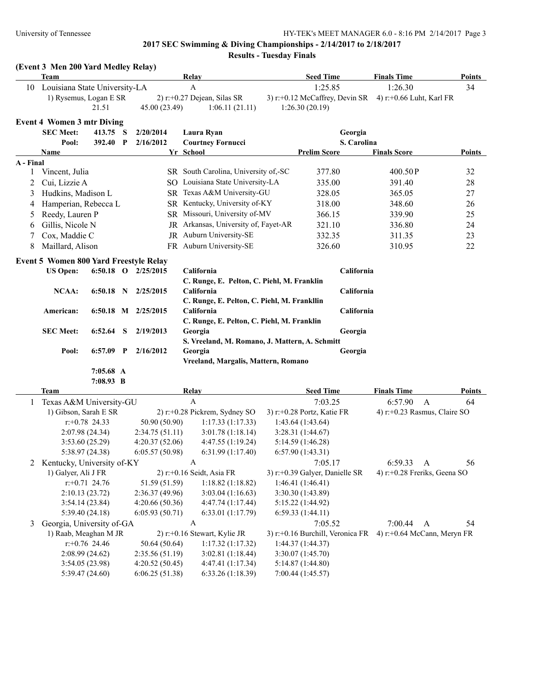### **2017 SEC Swimming & Diving Championships - 2/14/2017 to 2/18/2017 Results - Tuesday Finals**

**Team Relay Seed Time Finals Time Points**

## **(Event 3 Men 200 Yard Medley Relay)**

| $2)$ r:+0.27 Dejean, Silas SR<br>3) r:+0.12 McCaffrey, Devin SR<br>4) r:+0.66 Luht, Karl FR<br>1) Rysemus, Logan E SR<br>21.51<br>45.00 (23.49)<br>1:26.30(20.19)<br>1:06.11(21.11)<br><b>Event 4 Women 3 mtr Diving</b><br><b>SEC Meet:</b><br>Georgia<br>413.75<br>S<br>2/20/2014<br>Laura Ryan<br>S. Carolina<br>2/16/2012<br><b>Courtney Fornucci</b><br>Pool:<br>392.40 P<br><b>Prelim Score</b><br><b>Finals Score</b><br><b>Points</b><br>Name<br>Yr School<br>A - Final<br>SR South Carolina, University of,-SC<br>377.80<br>32<br>Vincent, Julia<br>400.50P<br>1<br>SO Louisiana State University-LA<br>Cui, Lizzie A<br>335.00<br>391.40<br>28<br>2<br>Hudkins, Madison L<br>SR Texas A&M University-GU<br>$27\,$<br>3<br>328.05<br>365.05<br>SR Kentucky, University of-KY<br>Hamperian, Rebecca L<br>348.60<br>26<br>318.00<br>4<br>SR Missouri, University of-MV<br>Reedy, Lauren P<br>25<br>366.15<br>339.90<br>5<br>JR Arkansas, University of, Fayet-AR<br>Gillis, Nicole N<br>321.10<br>24<br>336.80<br>6<br>JR Auburn University-SE<br>Cox, Maddie C<br>23<br>332.35<br>311.35<br>7<br>FR Auburn University-SE<br>Maillard, Alison<br>326.60<br>22<br>8<br>310.95<br><b>Event 5 Women 800 Yard Freestyle Relay</b><br>California<br>California<br><b>US Open:</b><br>6:50.18 O $2/25/2015$<br>C. Runge, E. Pelton, C. Piehl, M. Franklin<br>California<br><b>NCAA:</b><br>$6:50.18$ N<br>2/25/2015<br>California<br>C. Runge, E. Pelton, C. Piehl, M. Frankllin<br>California<br>California<br>American:<br>6:50.18 M 2/25/2015<br>C. Runge, E. Pelton, C. Piehl, M. Franklin<br><b>SEC Meet:</b><br>6:52.64<br>S<br>2/19/2013<br>Georgia<br>Georgia<br>S. Vreeland, M. Romano, J. Mattern, A. Schmitt<br>Georgia<br>Pool:<br>$6:57.09$ P<br>2/16/2012<br>Georgia<br>Vreeland, Margalis, Mattern, Romano<br>7:05.68 A<br>7:08.93 B<br><b>Team</b><br><b>Seed Time</b><br><b>Finals Time</b><br>Relay<br>Points<br>$\mathbf{A}$<br>7:03.25<br>6:57.90<br>$\mathbf{A}$<br>Texas A&M University-GU<br>64<br>1<br>1) Gibson, Sarah E SR<br>2) r:+0.28 Pickrem, Sydney SO<br>3) r:+0.28 Portz, Katie FR<br>4) r:+0.23 Rasmus, Claire SO<br>$r: +0.78$ 24.33<br>50.90 (50.90)<br>1:17.33(1:17.33)<br>1:43.64(1:43.64)<br>2:07.98 (24.34)<br>2:34.75(51.11)<br>3:01.78(1:18.14)<br>3:28.31 (1:44.67)<br>3:53.60(25.29)<br>4:20.37(52.06)<br>4:47.55(1:19.24)<br>5:14.59 (1:46.28)<br>5:38.97 (24.38)<br>6:05.57(50.98)<br>6:31.99(1:17.40)<br>6:57.90(1:43.31)<br>6:59.33<br>2 Kentucky, University of-KY<br>A<br>7:05.17<br>A<br>56<br>3) r:+0.39 Galyer, Danielle SR<br>1) Galyer, Ali J FR<br>$2)$ r:+0.16 Seidt, Asia FR<br>4) $r$ : +0.28 Freriks, Geena SO<br>51.59 (51.59)<br>1:18.82(1:18.82)<br>1:46.41(1:46.41)<br>$r: +0.71$ 24.76<br>2:10.13(23.72)<br>2:36.37 (49.96)<br>3:03.04(1:16.63)<br>3:30.30 (1:43.89)<br>3:54.14(23.84)<br>4:20.66(50.36)<br>4:47.74 (1:17.44)<br>5:15.22 (1:44.92)<br>5:39.40 (24.18)<br>6:05.93(50.71)<br>6:33.01 (1:17.79)<br>6:59.33(1:44.11)<br>Georgia, University of-GA<br>3<br>A<br>7:05.52<br>7:00.44<br>$\mathbf{A}$<br>54<br>1) Raab, Meaghan M JR<br>2) r:+0.16 Stewart, Kylie JR<br>3) r:+0.16 Burchill, Veronica FR 4) r:+0.64 McCann, Meryn FR<br>$r$ : +0.76 24.46<br>1:17.32(1:17.32)<br>1:44.37 (1:44.37)<br>50.64 (50.64)<br>2:08.99(24.62)<br>2:35.56 (51.19)<br>3:02.81 (1:18.44)<br>3:30.07 (1:45.70)<br>3:54.05 (23.98)<br>4:20.52(50.45)<br>4:47.41 (1:17.34)<br>5:14.87 (1:44.80)<br>5:39.47 (24.60)<br>6:06.25(51.38)<br>6:33.26 (1:18.39)<br>7:00.44 (1:45.57) | 10 | Louisiana State University-LA |  | A | 1:25.85 | 1:26.30 | 34 |
|--------------------------------------------------------------------------------------------------------------------------------------------------------------------------------------------------------------------------------------------------------------------------------------------------------------------------------------------------------------------------------------------------------------------------------------------------------------------------------------------------------------------------------------------------------------------------------------------------------------------------------------------------------------------------------------------------------------------------------------------------------------------------------------------------------------------------------------------------------------------------------------------------------------------------------------------------------------------------------------------------------------------------------------------------------------------------------------------------------------------------------------------------------------------------------------------------------------------------------------------------------------------------------------------------------------------------------------------------------------------------------------------------------------------------------------------------------------------------------------------------------------------------------------------------------------------------------------------------------------------------------------------------------------------------------------------------------------------------------------------------------------------------------------------------------------------------------------------------------------------------------------------------------------------------------------------------------------------------------------------------------------------------------------------------------------------------------------------------------------------------------------------------------------------------------------------------------------------------------------------------------------------------------------------------------------------------------------------------------------------------------------------------------------------------------------------------------------------------------------------------------------------------------------------------------------------------------------------------------------------------------------------------------------------------------------------------------------------------------------------------------------------------------------------------------------------------------------------------------------------------------------------------------------------------------------------------------------------------------------------------------------------------------------------------------------------------------------------------------------------------------------------------------------------------------------------------------------------------------------------------------------------------------------------------------------------------------------------------------------------------------------------------------------------------------------------------------------------------------------------------------------------------------------------|----|-------------------------------|--|---|---------|---------|----|
|                                                                                                                                                                                                                                                                                                                                                                                                                                                                                                                                                                                                                                                                                                                                                                                                                                                                                                                                                                                                                                                                                                                                                                                                                                                                                                                                                                                                                                                                                                                                                                                                                                                                                                                                                                                                                                                                                                                                                                                                                                                                                                                                                                                                                                                                                                                                                                                                                                                                                                                                                                                                                                                                                                                                                                                                                                                                                                                                                                                                                                                                                                                                                                                                                                                                                                                                                                                                                                                                                                                                            |    |                               |  |   |         |         |    |
|                                                                                                                                                                                                                                                                                                                                                                                                                                                                                                                                                                                                                                                                                                                                                                                                                                                                                                                                                                                                                                                                                                                                                                                                                                                                                                                                                                                                                                                                                                                                                                                                                                                                                                                                                                                                                                                                                                                                                                                                                                                                                                                                                                                                                                                                                                                                                                                                                                                                                                                                                                                                                                                                                                                                                                                                                                                                                                                                                                                                                                                                                                                                                                                                                                                                                                                                                                                                                                                                                                                                            |    |                               |  |   |         |         |    |
|                                                                                                                                                                                                                                                                                                                                                                                                                                                                                                                                                                                                                                                                                                                                                                                                                                                                                                                                                                                                                                                                                                                                                                                                                                                                                                                                                                                                                                                                                                                                                                                                                                                                                                                                                                                                                                                                                                                                                                                                                                                                                                                                                                                                                                                                                                                                                                                                                                                                                                                                                                                                                                                                                                                                                                                                                                                                                                                                                                                                                                                                                                                                                                                                                                                                                                                                                                                                                                                                                                                                            |    |                               |  |   |         |         |    |
|                                                                                                                                                                                                                                                                                                                                                                                                                                                                                                                                                                                                                                                                                                                                                                                                                                                                                                                                                                                                                                                                                                                                                                                                                                                                                                                                                                                                                                                                                                                                                                                                                                                                                                                                                                                                                                                                                                                                                                                                                                                                                                                                                                                                                                                                                                                                                                                                                                                                                                                                                                                                                                                                                                                                                                                                                                                                                                                                                                                                                                                                                                                                                                                                                                                                                                                                                                                                                                                                                                                                            |    |                               |  |   |         |         |    |
|                                                                                                                                                                                                                                                                                                                                                                                                                                                                                                                                                                                                                                                                                                                                                                                                                                                                                                                                                                                                                                                                                                                                                                                                                                                                                                                                                                                                                                                                                                                                                                                                                                                                                                                                                                                                                                                                                                                                                                                                                                                                                                                                                                                                                                                                                                                                                                                                                                                                                                                                                                                                                                                                                                                                                                                                                                                                                                                                                                                                                                                                                                                                                                                                                                                                                                                                                                                                                                                                                                                                            |    |                               |  |   |         |         |    |
|                                                                                                                                                                                                                                                                                                                                                                                                                                                                                                                                                                                                                                                                                                                                                                                                                                                                                                                                                                                                                                                                                                                                                                                                                                                                                                                                                                                                                                                                                                                                                                                                                                                                                                                                                                                                                                                                                                                                                                                                                                                                                                                                                                                                                                                                                                                                                                                                                                                                                                                                                                                                                                                                                                                                                                                                                                                                                                                                                                                                                                                                                                                                                                                                                                                                                                                                                                                                                                                                                                                                            |    |                               |  |   |         |         |    |
|                                                                                                                                                                                                                                                                                                                                                                                                                                                                                                                                                                                                                                                                                                                                                                                                                                                                                                                                                                                                                                                                                                                                                                                                                                                                                                                                                                                                                                                                                                                                                                                                                                                                                                                                                                                                                                                                                                                                                                                                                                                                                                                                                                                                                                                                                                                                                                                                                                                                                                                                                                                                                                                                                                                                                                                                                                                                                                                                                                                                                                                                                                                                                                                                                                                                                                                                                                                                                                                                                                                                            |    |                               |  |   |         |         |    |
|                                                                                                                                                                                                                                                                                                                                                                                                                                                                                                                                                                                                                                                                                                                                                                                                                                                                                                                                                                                                                                                                                                                                                                                                                                                                                                                                                                                                                                                                                                                                                                                                                                                                                                                                                                                                                                                                                                                                                                                                                                                                                                                                                                                                                                                                                                                                                                                                                                                                                                                                                                                                                                                                                                                                                                                                                                                                                                                                                                                                                                                                                                                                                                                                                                                                                                                                                                                                                                                                                                                                            |    |                               |  |   |         |         |    |
|                                                                                                                                                                                                                                                                                                                                                                                                                                                                                                                                                                                                                                                                                                                                                                                                                                                                                                                                                                                                                                                                                                                                                                                                                                                                                                                                                                                                                                                                                                                                                                                                                                                                                                                                                                                                                                                                                                                                                                                                                                                                                                                                                                                                                                                                                                                                                                                                                                                                                                                                                                                                                                                                                                                                                                                                                                                                                                                                                                                                                                                                                                                                                                                                                                                                                                                                                                                                                                                                                                                                            |    |                               |  |   |         |         |    |
|                                                                                                                                                                                                                                                                                                                                                                                                                                                                                                                                                                                                                                                                                                                                                                                                                                                                                                                                                                                                                                                                                                                                                                                                                                                                                                                                                                                                                                                                                                                                                                                                                                                                                                                                                                                                                                                                                                                                                                                                                                                                                                                                                                                                                                                                                                                                                                                                                                                                                                                                                                                                                                                                                                                                                                                                                                                                                                                                                                                                                                                                                                                                                                                                                                                                                                                                                                                                                                                                                                                                            |    |                               |  |   |         |         |    |
|                                                                                                                                                                                                                                                                                                                                                                                                                                                                                                                                                                                                                                                                                                                                                                                                                                                                                                                                                                                                                                                                                                                                                                                                                                                                                                                                                                                                                                                                                                                                                                                                                                                                                                                                                                                                                                                                                                                                                                                                                                                                                                                                                                                                                                                                                                                                                                                                                                                                                                                                                                                                                                                                                                                                                                                                                                                                                                                                                                                                                                                                                                                                                                                                                                                                                                                                                                                                                                                                                                                                            |    |                               |  |   |         |         |    |
|                                                                                                                                                                                                                                                                                                                                                                                                                                                                                                                                                                                                                                                                                                                                                                                                                                                                                                                                                                                                                                                                                                                                                                                                                                                                                                                                                                                                                                                                                                                                                                                                                                                                                                                                                                                                                                                                                                                                                                                                                                                                                                                                                                                                                                                                                                                                                                                                                                                                                                                                                                                                                                                                                                                                                                                                                                                                                                                                                                                                                                                                                                                                                                                                                                                                                                                                                                                                                                                                                                                                            |    |                               |  |   |         |         |    |
|                                                                                                                                                                                                                                                                                                                                                                                                                                                                                                                                                                                                                                                                                                                                                                                                                                                                                                                                                                                                                                                                                                                                                                                                                                                                                                                                                                                                                                                                                                                                                                                                                                                                                                                                                                                                                                                                                                                                                                                                                                                                                                                                                                                                                                                                                                                                                                                                                                                                                                                                                                                                                                                                                                                                                                                                                                                                                                                                                                                                                                                                                                                                                                                                                                                                                                                                                                                                                                                                                                                                            |    |                               |  |   |         |         |    |
|                                                                                                                                                                                                                                                                                                                                                                                                                                                                                                                                                                                                                                                                                                                                                                                                                                                                                                                                                                                                                                                                                                                                                                                                                                                                                                                                                                                                                                                                                                                                                                                                                                                                                                                                                                                                                                                                                                                                                                                                                                                                                                                                                                                                                                                                                                                                                                                                                                                                                                                                                                                                                                                                                                                                                                                                                                                                                                                                                                                                                                                                                                                                                                                                                                                                                                                                                                                                                                                                                                                                            |    |                               |  |   |         |         |    |
|                                                                                                                                                                                                                                                                                                                                                                                                                                                                                                                                                                                                                                                                                                                                                                                                                                                                                                                                                                                                                                                                                                                                                                                                                                                                                                                                                                                                                                                                                                                                                                                                                                                                                                                                                                                                                                                                                                                                                                                                                                                                                                                                                                                                                                                                                                                                                                                                                                                                                                                                                                                                                                                                                                                                                                                                                                                                                                                                                                                                                                                                                                                                                                                                                                                                                                                                                                                                                                                                                                                                            |    |                               |  |   |         |         |    |
|                                                                                                                                                                                                                                                                                                                                                                                                                                                                                                                                                                                                                                                                                                                                                                                                                                                                                                                                                                                                                                                                                                                                                                                                                                                                                                                                                                                                                                                                                                                                                                                                                                                                                                                                                                                                                                                                                                                                                                                                                                                                                                                                                                                                                                                                                                                                                                                                                                                                                                                                                                                                                                                                                                                                                                                                                                                                                                                                                                                                                                                                                                                                                                                                                                                                                                                                                                                                                                                                                                                                            |    |                               |  |   |         |         |    |
|                                                                                                                                                                                                                                                                                                                                                                                                                                                                                                                                                                                                                                                                                                                                                                                                                                                                                                                                                                                                                                                                                                                                                                                                                                                                                                                                                                                                                                                                                                                                                                                                                                                                                                                                                                                                                                                                                                                                                                                                                                                                                                                                                                                                                                                                                                                                                                                                                                                                                                                                                                                                                                                                                                                                                                                                                                                                                                                                                                                                                                                                                                                                                                                                                                                                                                                                                                                                                                                                                                                                            |    |                               |  |   |         |         |    |
|                                                                                                                                                                                                                                                                                                                                                                                                                                                                                                                                                                                                                                                                                                                                                                                                                                                                                                                                                                                                                                                                                                                                                                                                                                                                                                                                                                                                                                                                                                                                                                                                                                                                                                                                                                                                                                                                                                                                                                                                                                                                                                                                                                                                                                                                                                                                                                                                                                                                                                                                                                                                                                                                                                                                                                                                                                                                                                                                                                                                                                                                                                                                                                                                                                                                                                                                                                                                                                                                                                                                            |    |                               |  |   |         |         |    |
|                                                                                                                                                                                                                                                                                                                                                                                                                                                                                                                                                                                                                                                                                                                                                                                                                                                                                                                                                                                                                                                                                                                                                                                                                                                                                                                                                                                                                                                                                                                                                                                                                                                                                                                                                                                                                                                                                                                                                                                                                                                                                                                                                                                                                                                                                                                                                                                                                                                                                                                                                                                                                                                                                                                                                                                                                                                                                                                                                                                                                                                                                                                                                                                                                                                                                                                                                                                                                                                                                                                                            |    |                               |  |   |         |         |    |
|                                                                                                                                                                                                                                                                                                                                                                                                                                                                                                                                                                                                                                                                                                                                                                                                                                                                                                                                                                                                                                                                                                                                                                                                                                                                                                                                                                                                                                                                                                                                                                                                                                                                                                                                                                                                                                                                                                                                                                                                                                                                                                                                                                                                                                                                                                                                                                                                                                                                                                                                                                                                                                                                                                                                                                                                                                                                                                                                                                                                                                                                                                                                                                                                                                                                                                                                                                                                                                                                                                                                            |    |                               |  |   |         |         |    |
|                                                                                                                                                                                                                                                                                                                                                                                                                                                                                                                                                                                                                                                                                                                                                                                                                                                                                                                                                                                                                                                                                                                                                                                                                                                                                                                                                                                                                                                                                                                                                                                                                                                                                                                                                                                                                                                                                                                                                                                                                                                                                                                                                                                                                                                                                                                                                                                                                                                                                                                                                                                                                                                                                                                                                                                                                                                                                                                                                                                                                                                                                                                                                                                                                                                                                                                                                                                                                                                                                                                                            |    |                               |  |   |         |         |    |
|                                                                                                                                                                                                                                                                                                                                                                                                                                                                                                                                                                                                                                                                                                                                                                                                                                                                                                                                                                                                                                                                                                                                                                                                                                                                                                                                                                                                                                                                                                                                                                                                                                                                                                                                                                                                                                                                                                                                                                                                                                                                                                                                                                                                                                                                                                                                                                                                                                                                                                                                                                                                                                                                                                                                                                                                                                                                                                                                                                                                                                                                                                                                                                                                                                                                                                                                                                                                                                                                                                                                            |    |                               |  |   |         |         |    |
|                                                                                                                                                                                                                                                                                                                                                                                                                                                                                                                                                                                                                                                                                                                                                                                                                                                                                                                                                                                                                                                                                                                                                                                                                                                                                                                                                                                                                                                                                                                                                                                                                                                                                                                                                                                                                                                                                                                                                                                                                                                                                                                                                                                                                                                                                                                                                                                                                                                                                                                                                                                                                                                                                                                                                                                                                                                                                                                                                                                                                                                                                                                                                                                                                                                                                                                                                                                                                                                                                                                                            |    |                               |  |   |         |         |    |
|                                                                                                                                                                                                                                                                                                                                                                                                                                                                                                                                                                                                                                                                                                                                                                                                                                                                                                                                                                                                                                                                                                                                                                                                                                                                                                                                                                                                                                                                                                                                                                                                                                                                                                                                                                                                                                                                                                                                                                                                                                                                                                                                                                                                                                                                                                                                                                                                                                                                                                                                                                                                                                                                                                                                                                                                                                                                                                                                                                                                                                                                                                                                                                                                                                                                                                                                                                                                                                                                                                                                            |    |                               |  |   |         |         |    |
|                                                                                                                                                                                                                                                                                                                                                                                                                                                                                                                                                                                                                                                                                                                                                                                                                                                                                                                                                                                                                                                                                                                                                                                                                                                                                                                                                                                                                                                                                                                                                                                                                                                                                                                                                                                                                                                                                                                                                                                                                                                                                                                                                                                                                                                                                                                                                                                                                                                                                                                                                                                                                                                                                                                                                                                                                                                                                                                                                                                                                                                                                                                                                                                                                                                                                                                                                                                                                                                                                                                                            |    |                               |  |   |         |         |    |
|                                                                                                                                                                                                                                                                                                                                                                                                                                                                                                                                                                                                                                                                                                                                                                                                                                                                                                                                                                                                                                                                                                                                                                                                                                                                                                                                                                                                                                                                                                                                                                                                                                                                                                                                                                                                                                                                                                                                                                                                                                                                                                                                                                                                                                                                                                                                                                                                                                                                                                                                                                                                                                                                                                                                                                                                                                                                                                                                                                                                                                                                                                                                                                                                                                                                                                                                                                                                                                                                                                                                            |    |                               |  |   |         |         |    |
|                                                                                                                                                                                                                                                                                                                                                                                                                                                                                                                                                                                                                                                                                                                                                                                                                                                                                                                                                                                                                                                                                                                                                                                                                                                                                                                                                                                                                                                                                                                                                                                                                                                                                                                                                                                                                                                                                                                                                                                                                                                                                                                                                                                                                                                                                                                                                                                                                                                                                                                                                                                                                                                                                                                                                                                                                                                                                                                                                                                                                                                                                                                                                                                                                                                                                                                                                                                                                                                                                                                                            |    |                               |  |   |         |         |    |
|                                                                                                                                                                                                                                                                                                                                                                                                                                                                                                                                                                                                                                                                                                                                                                                                                                                                                                                                                                                                                                                                                                                                                                                                                                                                                                                                                                                                                                                                                                                                                                                                                                                                                                                                                                                                                                                                                                                                                                                                                                                                                                                                                                                                                                                                                                                                                                                                                                                                                                                                                                                                                                                                                                                                                                                                                                                                                                                                                                                                                                                                                                                                                                                                                                                                                                                                                                                                                                                                                                                                            |    |                               |  |   |         |         |    |
|                                                                                                                                                                                                                                                                                                                                                                                                                                                                                                                                                                                                                                                                                                                                                                                                                                                                                                                                                                                                                                                                                                                                                                                                                                                                                                                                                                                                                                                                                                                                                                                                                                                                                                                                                                                                                                                                                                                                                                                                                                                                                                                                                                                                                                                                                                                                                                                                                                                                                                                                                                                                                                                                                                                                                                                                                                                                                                                                                                                                                                                                                                                                                                                                                                                                                                                                                                                                                                                                                                                                            |    |                               |  |   |         |         |    |
|                                                                                                                                                                                                                                                                                                                                                                                                                                                                                                                                                                                                                                                                                                                                                                                                                                                                                                                                                                                                                                                                                                                                                                                                                                                                                                                                                                                                                                                                                                                                                                                                                                                                                                                                                                                                                                                                                                                                                                                                                                                                                                                                                                                                                                                                                                                                                                                                                                                                                                                                                                                                                                                                                                                                                                                                                                                                                                                                                                                                                                                                                                                                                                                                                                                                                                                                                                                                                                                                                                                                            |    |                               |  |   |         |         |    |
|                                                                                                                                                                                                                                                                                                                                                                                                                                                                                                                                                                                                                                                                                                                                                                                                                                                                                                                                                                                                                                                                                                                                                                                                                                                                                                                                                                                                                                                                                                                                                                                                                                                                                                                                                                                                                                                                                                                                                                                                                                                                                                                                                                                                                                                                                                                                                                                                                                                                                                                                                                                                                                                                                                                                                                                                                                                                                                                                                                                                                                                                                                                                                                                                                                                                                                                                                                                                                                                                                                                                            |    |                               |  |   |         |         |    |
|                                                                                                                                                                                                                                                                                                                                                                                                                                                                                                                                                                                                                                                                                                                                                                                                                                                                                                                                                                                                                                                                                                                                                                                                                                                                                                                                                                                                                                                                                                                                                                                                                                                                                                                                                                                                                                                                                                                                                                                                                                                                                                                                                                                                                                                                                                                                                                                                                                                                                                                                                                                                                                                                                                                                                                                                                                                                                                                                                                                                                                                                                                                                                                                                                                                                                                                                                                                                                                                                                                                                            |    |                               |  |   |         |         |    |
|                                                                                                                                                                                                                                                                                                                                                                                                                                                                                                                                                                                                                                                                                                                                                                                                                                                                                                                                                                                                                                                                                                                                                                                                                                                                                                                                                                                                                                                                                                                                                                                                                                                                                                                                                                                                                                                                                                                                                                                                                                                                                                                                                                                                                                                                                                                                                                                                                                                                                                                                                                                                                                                                                                                                                                                                                                                                                                                                                                                                                                                                                                                                                                                                                                                                                                                                                                                                                                                                                                                                            |    |                               |  |   |         |         |    |
|                                                                                                                                                                                                                                                                                                                                                                                                                                                                                                                                                                                                                                                                                                                                                                                                                                                                                                                                                                                                                                                                                                                                                                                                                                                                                                                                                                                                                                                                                                                                                                                                                                                                                                                                                                                                                                                                                                                                                                                                                                                                                                                                                                                                                                                                                                                                                                                                                                                                                                                                                                                                                                                                                                                                                                                                                                                                                                                                                                                                                                                                                                                                                                                                                                                                                                                                                                                                                                                                                                                                            |    |                               |  |   |         |         |    |
|                                                                                                                                                                                                                                                                                                                                                                                                                                                                                                                                                                                                                                                                                                                                                                                                                                                                                                                                                                                                                                                                                                                                                                                                                                                                                                                                                                                                                                                                                                                                                                                                                                                                                                                                                                                                                                                                                                                                                                                                                                                                                                                                                                                                                                                                                                                                                                                                                                                                                                                                                                                                                                                                                                                                                                                                                                                                                                                                                                                                                                                                                                                                                                                                                                                                                                                                                                                                                                                                                                                                            |    |                               |  |   |         |         |    |
|                                                                                                                                                                                                                                                                                                                                                                                                                                                                                                                                                                                                                                                                                                                                                                                                                                                                                                                                                                                                                                                                                                                                                                                                                                                                                                                                                                                                                                                                                                                                                                                                                                                                                                                                                                                                                                                                                                                                                                                                                                                                                                                                                                                                                                                                                                                                                                                                                                                                                                                                                                                                                                                                                                                                                                                                                                                                                                                                                                                                                                                                                                                                                                                                                                                                                                                                                                                                                                                                                                                                            |    |                               |  |   |         |         |    |
|                                                                                                                                                                                                                                                                                                                                                                                                                                                                                                                                                                                                                                                                                                                                                                                                                                                                                                                                                                                                                                                                                                                                                                                                                                                                                                                                                                                                                                                                                                                                                                                                                                                                                                                                                                                                                                                                                                                                                                                                                                                                                                                                                                                                                                                                                                                                                                                                                                                                                                                                                                                                                                                                                                                                                                                                                                                                                                                                                                                                                                                                                                                                                                                                                                                                                                                                                                                                                                                                                                                                            |    |                               |  |   |         |         |    |
|                                                                                                                                                                                                                                                                                                                                                                                                                                                                                                                                                                                                                                                                                                                                                                                                                                                                                                                                                                                                                                                                                                                                                                                                                                                                                                                                                                                                                                                                                                                                                                                                                                                                                                                                                                                                                                                                                                                                                                                                                                                                                                                                                                                                                                                                                                                                                                                                                                                                                                                                                                                                                                                                                                                                                                                                                                                                                                                                                                                                                                                                                                                                                                                                                                                                                                                                                                                                                                                                                                                                            |    |                               |  |   |         |         |    |
|                                                                                                                                                                                                                                                                                                                                                                                                                                                                                                                                                                                                                                                                                                                                                                                                                                                                                                                                                                                                                                                                                                                                                                                                                                                                                                                                                                                                                                                                                                                                                                                                                                                                                                                                                                                                                                                                                                                                                                                                                                                                                                                                                                                                                                                                                                                                                                                                                                                                                                                                                                                                                                                                                                                                                                                                                                                                                                                                                                                                                                                                                                                                                                                                                                                                                                                                                                                                                                                                                                                                            |    |                               |  |   |         |         |    |
|                                                                                                                                                                                                                                                                                                                                                                                                                                                                                                                                                                                                                                                                                                                                                                                                                                                                                                                                                                                                                                                                                                                                                                                                                                                                                                                                                                                                                                                                                                                                                                                                                                                                                                                                                                                                                                                                                                                                                                                                                                                                                                                                                                                                                                                                                                                                                                                                                                                                                                                                                                                                                                                                                                                                                                                                                                                                                                                                                                                                                                                                                                                                                                                                                                                                                                                                                                                                                                                                                                                                            |    |                               |  |   |         |         |    |
|                                                                                                                                                                                                                                                                                                                                                                                                                                                                                                                                                                                                                                                                                                                                                                                                                                                                                                                                                                                                                                                                                                                                                                                                                                                                                                                                                                                                                                                                                                                                                                                                                                                                                                                                                                                                                                                                                                                                                                                                                                                                                                                                                                                                                                                                                                                                                                                                                                                                                                                                                                                                                                                                                                                                                                                                                                                                                                                                                                                                                                                                                                                                                                                                                                                                                                                                                                                                                                                                                                                                            |    |                               |  |   |         |         |    |
|                                                                                                                                                                                                                                                                                                                                                                                                                                                                                                                                                                                                                                                                                                                                                                                                                                                                                                                                                                                                                                                                                                                                                                                                                                                                                                                                                                                                                                                                                                                                                                                                                                                                                                                                                                                                                                                                                                                                                                                                                                                                                                                                                                                                                                                                                                                                                                                                                                                                                                                                                                                                                                                                                                                                                                                                                                                                                                                                                                                                                                                                                                                                                                                                                                                                                                                                                                                                                                                                                                                                            |    |                               |  |   |         |         |    |
|                                                                                                                                                                                                                                                                                                                                                                                                                                                                                                                                                                                                                                                                                                                                                                                                                                                                                                                                                                                                                                                                                                                                                                                                                                                                                                                                                                                                                                                                                                                                                                                                                                                                                                                                                                                                                                                                                                                                                                                                                                                                                                                                                                                                                                                                                                                                                                                                                                                                                                                                                                                                                                                                                                                                                                                                                                                                                                                                                                                                                                                                                                                                                                                                                                                                                                                                                                                                                                                                                                                                            |    |                               |  |   |         |         |    |
|                                                                                                                                                                                                                                                                                                                                                                                                                                                                                                                                                                                                                                                                                                                                                                                                                                                                                                                                                                                                                                                                                                                                                                                                                                                                                                                                                                                                                                                                                                                                                                                                                                                                                                                                                                                                                                                                                                                                                                                                                                                                                                                                                                                                                                                                                                                                                                                                                                                                                                                                                                                                                                                                                                                                                                                                                                                                                                                                                                                                                                                                                                                                                                                                                                                                                                                                                                                                                                                                                                                                            |    |                               |  |   |         |         |    |
|                                                                                                                                                                                                                                                                                                                                                                                                                                                                                                                                                                                                                                                                                                                                                                                                                                                                                                                                                                                                                                                                                                                                                                                                                                                                                                                                                                                                                                                                                                                                                                                                                                                                                                                                                                                                                                                                                                                                                                                                                                                                                                                                                                                                                                                                                                                                                                                                                                                                                                                                                                                                                                                                                                                                                                                                                                                                                                                                                                                                                                                                                                                                                                                                                                                                                                                                                                                                                                                                                                                                            |    |                               |  |   |         |         |    |
|                                                                                                                                                                                                                                                                                                                                                                                                                                                                                                                                                                                                                                                                                                                                                                                                                                                                                                                                                                                                                                                                                                                                                                                                                                                                                                                                                                                                                                                                                                                                                                                                                                                                                                                                                                                                                                                                                                                                                                                                                                                                                                                                                                                                                                                                                                                                                                                                                                                                                                                                                                                                                                                                                                                                                                                                                                                                                                                                                                                                                                                                                                                                                                                                                                                                                                                                                                                                                                                                                                                                            |    |                               |  |   |         |         |    |
|                                                                                                                                                                                                                                                                                                                                                                                                                                                                                                                                                                                                                                                                                                                                                                                                                                                                                                                                                                                                                                                                                                                                                                                                                                                                                                                                                                                                                                                                                                                                                                                                                                                                                                                                                                                                                                                                                                                                                                                                                                                                                                                                                                                                                                                                                                                                                                                                                                                                                                                                                                                                                                                                                                                                                                                                                                                                                                                                                                                                                                                                                                                                                                                                                                                                                                                                                                                                                                                                                                                                            |    |                               |  |   |         |         |    |
|                                                                                                                                                                                                                                                                                                                                                                                                                                                                                                                                                                                                                                                                                                                                                                                                                                                                                                                                                                                                                                                                                                                                                                                                                                                                                                                                                                                                                                                                                                                                                                                                                                                                                                                                                                                                                                                                                                                                                                                                                                                                                                                                                                                                                                                                                                                                                                                                                                                                                                                                                                                                                                                                                                                                                                                                                                                                                                                                                                                                                                                                                                                                                                                                                                                                                                                                                                                                                                                                                                                                            |    |                               |  |   |         |         |    |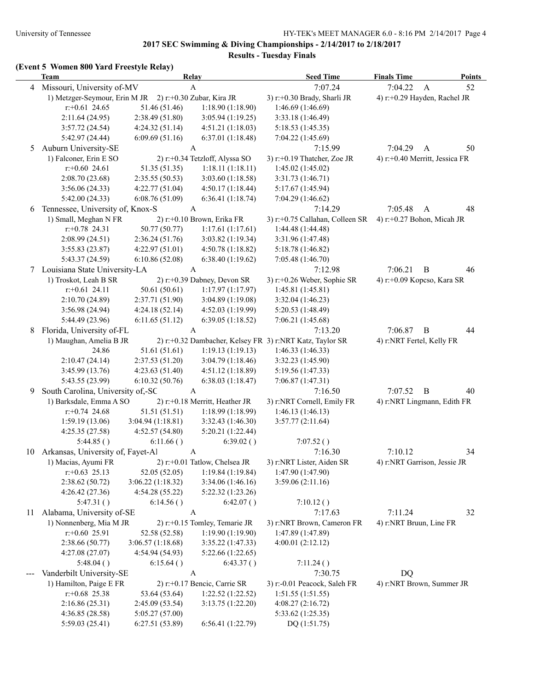## **2017 SEC Swimming & Diving Championships - 2/14/2017 to 2/18/2017**

**Results - Tuesday Finals**

## **(Event 5 Women 800 Yard Freestyle Relay)**

|    | <b>Team</b>                       |                  | Relay                          | <b>Seed Time</b>                                         | <b>Finals Time</b>        | <b>Points</b>                  |
|----|-----------------------------------|------------------|--------------------------------|----------------------------------------------------------|---------------------------|--------------------------------|
| 4  | Missouri, University of-MV        |                  | $\mathbf{A}$                   | 7:07.24                                                  | 7:04.22                   | $\mathbf{A}$<br>52             |
|    | 1) Metzger-Seymour, Erin M JR     |                  | 2) r:+0.30 Zubar, Kira JR      | 3) r:+0.30 Brady, Sharli JR                              |                           | 4) r:+0.29 Hayden, Rachel JR   |
|    | $r: +0.61$ 24.65                  | 51.46 (51.46)    | 1:18.90(1:18.90)               | 1:46.69 (1:46.69)                                        |                           |                                |
|    | 2:11.64 (24.95)                   | 2:38.49 (51.80)  | 3:05.94(1:19.25)               | 3:33.18 (1:46.49)                                        |                           |                                |
|    | 3:57.72 (24.54)                   | 4:24.32(51.14)   | 4:51.21(1:18.03)               | 5:18.53 (1:45.35)                                        |                           |                                |
|    | 5:42.97 (24.44)                   | 6:09.69(51.16)   | 6:37.01(1:18.48)               | 7:04.22(1:45.69)                                         |                           |                                |
| 5  | Auburn University-SE              |                  | A                              | 7:15.99                                                  | 7:04.29                   | 50<br>A                        |
|    | 1) Falconer, Erin E SO            |                  | 2) r:+0.34 Tetzloff, Alyssa SO | 3) r:+0.19 Thatcher, Zoe JR                              |                           | 4) r:+0.40 Merritt, Jessica FR |
|    | $r$ :+0.60 24.61                  | 51.35 (51.35)    | 1:18.11(1:18.11)               | 1:45.02(1:45.02)                                         |                           |                                |
|    | 2:08.70(23.68)                    | 2:35.55(50.53)   | 3:03.60 (1:18.58)              | 3:31.73 (1:46.71)                                        |                           |                                |
|    | 3:56.06(24.33)                    | 4:22.77(51.04)   | 4:50.17(1:18.44)               | 5:17.67 (1:45.94)                                        |                           |                                |
|    | 5:42.00(24.33)                    | 6:08.76(51.09)   | 6:36.41(1:18.74)               | 7:04.29 (1:46.62)                                        |                           |                                |
| 6  | Tennessee, University of, Knox-S  |                  | $\boldsymbol{A}$               | 7:14.29                                                  | 7:05.48                   | $\mathbf{A}$<br>48             |
|    | 1) Small, Meghan N FR             |                  | 2) r:+0.10 Brown, Erika FR     | 3) r:+0.75 Callahan, Colleen SR                          |                           | 4) r:+0.27 Bohon, Micah JR     |
|    | $r: +0.78$ 24.31                  | 50.77 (50.77)    | 1:17.61(1:17.61)               | 1:44.48 (1:44.48)                                        |                           |                                |
|    | 2:08.99 (24.51)                   | 2:36.24 (51.76)  | 3:03.82 (1:19.34)              | 3:31.96 (1:47.48)                                        |                           |                                |
|    | 3:55.83(23.87)                    | 4:22.97(51.01)   | 4:50.78(1:18.82)               | 5:18.78 (1:46.82)                                        |                           |                                |
|    | 5:43.37 (24.59)                   | 6:10.86(52.08)   | 6:38.40 (1:19.62)              | 7:05.48 (1:46.70)                                        |                           |                                |
|    | 7 Louisiana State University-LA   |                  | $\mathbf{A}$                   | 7:12.98                                                  | 7:06.21                   | B<br>46                        |
|    | 1) Troskot, Leah B SR             |                  | 2) r:+0.39 Dabney, Devon SR    | 3) r:+0.26 Weber, Sophie SR                              |                           | 4) r:+0.09 Kopcso, Kara SR     |
|    | $r$ : +0.61 24.11                 | 50.61 (50.61)    | 1:17.97(1:17.97)               | 1:45.81 (1:45.81)                                        |                           |                                |
|    | 2:10.70 (24.89)                   | 2:37.71 (51.90)  | 3:04.89 (1:19.08)              | 3:32.04 (1:46.23)                                        |                           |                                |
|    | 3:56.98 (24.94)                   | 4:24.18(52.14)   | 4:52.03 (1:19.99)              | 5:20.53 (1:48.49)                                        |                           |                                |
|    | 5:44.49 (23.96)                   | 6:11.65(51.12)   | 6:39.05(1:18.52)               |                                                          |                           |                                |
|    |                                   |                  | A                              | 7:06.21(1:45.68)                                         |                           |                                |
| 8  | Florida, University of-FL         |                  |                                | 7:13.20                                                  | 7:06.87                   | B<br>44                        |
|    | 1) Maughan, Amelia B JR<br>24.86  |                  |                                | 2) r:+0.32 Dambacher, Kelsey FR 3) r:NRT Katz, Taylor SR | 4) r:NRT Fertel, Kelly FR |                                |
|    |                                   | 51.61 (51.61)    | 1:19.13(1:19.13)               | 1:46.33(1:46.33)                                         |                           |                                |
|    | 2:10.47(24.14)                    | 2:37.53(51.20)   | 3:04.79(1:18.46)               | 3:32.23 (1:45.90)                                        |                           |                                |
|    | 3:45.99 (13.76)                   | 4:23.63(51.40)   | 4:51.12(1:18.89)               | 5:19.56 (1:47.33)                                        |                           |                                |
|    | 5:43.55 (23.99)                   | 6:10.32(50.76)   | 6:38.03(1:18.47)               | 7:06.87 (1:47.31)                                        |                           |                                |
| 9  | South Carolina, University of,-SC |                  | $\boldsymbol{A}$               | 7:16.50                                                  | 7:07.52                   | B<br>40                        |
|    | 1) Barksdale, Emma A SO           |                  | 2) r:+0.18 Merritt, Heather JR | 3) r:NRT Cornell, Emily FR                               |                           | 4) r:NRT Lingmann, Edith FR    |
|    | $r.+0.74$ 24.68                   | 51.51 (51.51)    | 1:18.99(1:18.99)               | 1:46.13(1:46.13)                                         |                           |                                |
|    | 1:59.19(13.06)                    | 3:04.94(1:18.81) | 3:32.43 (1:46.30)              | 3:57.77(2:11.64)                                         |                           |                                |
|    | 4:25.35 (27.58)                   | 4:52.57(54.80)   | 5:20.21(1:22.44)               |                                                          |                           |                                |
|    | 5:44.85()                         | 6:11.66()        | 6:39.02()                      | 7:07.52()                                                |                           |                                |
| 10 | Arkansas, University of, Fayet-Al |                  | A                              | 7:16.30                                                  | 7:10.12                   | 34                             |
|    | 1) Macias, Ayumi FR               |                  | 2) r:+0.01 Tatlow, Chelsea JR  | 3) r:NRT Lister, Aiden SR                                |                           | 4) r:NRT Garrison, Jessie JR   |
|    | $r+0.63$ 25.13                    | 52.05 (52.05)    | 1:19.84(1:19.84)               | 1:47.90 (1:47.90)                                        |                           |                                |
|    | 2:38.62 (50.72)                   | 3:06.22(1:18.32) | 3:34.06(1:46.16)               | 3:59.06(2:11.16)                                         |                           |                                |
|    | 4:26.42(27.36)                    | 4:54.28(55.22)   | 5:22.32(1:23.26)               |                                                          |                           |                                |
|    | 5:47.31()                         | 6:14.56()        | 6:42.07()                      | 7:10.12()                                                |                           |                                |
| 11 | Alabama, University of-SE         |                  | A                              | 7:17.63                                                  | 7:11.24                   | 32                             |
|    | 1) Nonnenberg, Mia M JR           |                  | 2) r:+0.15 Tomley, Temarie JR  | 3) r:NRT Brown, Cameron FR                               | 4) r:NRT Bruun, Line FR   |                                |
|    | $r: +0.60$ 25.91                  | 52.58 (52.58)    | 1:19.90(1:19.90)               | 1:47.89 (1:47.89)                                        |                           |                                |
|    | 2:38.66 (50.77)                   | 3:06.57(1:18.68) | 3:35.22(1:47.33)               | 4:00.01 (2:12.12)                                        |                           |                                |
|    | 4:27.08(27.07)                    | 4:54.94 (54.93)  | 5:22.66 (1:22.65)              |                                                          |                           |                                |
|    | 5:48.04()                         | 6:15.64()        | 6:43.37()                      | 7:11.24()                                                |                           |                                |
|    | Vanderbilt University-SE          |                  | A                              | 7:30.75                                                  | <b>DQ</b>                 |                                |
|    | 1) Hamilton, Paige E FR           |                  | 2) r:+0.17 Bencic, Carrie SR   | 3) r:-0.01 Peacock, Saleh FR                             |                           | 4) r:NRT Brown, Summer JR      |
|    | $r$ : +0.68 25.38                 | 53.64 (53.64)    | 1:22.52(1:22.52)               | 1:51.55(1:51.55)                                         |                           |                                |
|    | 2:16.86 (25.31)                   | 2:45.09(53.54)   | 3:13.75(1:22.20)               | 4:08.27 (2:16.72)                                        |                           |                                |
|    | 4:36.85 (28.58)                   | 5:05.27(57.00)   |                                | 5:33.62 (1:25.35)                                        |                           |                                |
|    | 5:59.03(25.41)                    | 6:27.51(53.89)   | 6:56.41 (1:22.79)              | DQ (1:51.75)                                             |                           |                                |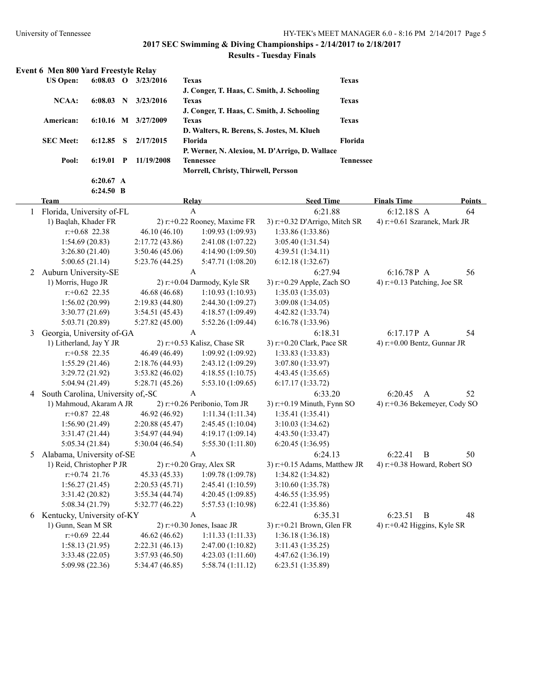# **2017 SEC Swimming & Diving Championships - 2/14/2017 to 2/18/2017**

# **Results - Tuesday Finals**

| Event 6 Men 800 Yard Freestyle Relay |             |             |            |                                                |                  |
|--------------------------------------|-------------|-------------|------------|------------------------------------------------|------------------|
| <b>US Open:</b>                      | 6:08.03     | $\mathbf 0$ | 3/23/2016  | <b>Texas</b>                                   | <b>Texas</b>     |
|                                      |             |             |            | J. Conger, T. Haas, C. Smith, J. Schooling     |                  |
| $NCAA$ :                             | 6:08.03     | N           | 3/23/2016  | <b>Texas</b>                                   | <b>Texas</b>     |
|                                      |             |             |            | J. Conger, T. Haas, C. Smith, J. Schooling     |                  |
| American:                            | $6:10.16$ M |             | 3/27/2009  | <b>Texas</b>                                   | <b>Texas</b>     |
|                                      |             |             |            | D. Walters, R. Berens, S. Jostes, M. Klueh     |                  |
| <b>SEC Meet:</b>                     | 6:12.85     | -8          | 2/17/2015  | <b>Florida</b>                                 | <b>Florida</b>   |
|                                      |             |             |            | P. Werner, N. Alexiou, M. D'Arrigo, D. Wallace |                  |
| Pool:                                | 6:19.01     | P           | 11/19/2008 | <b>Tennessee</b>                               | <b>Tennessee</b> |
|                                      |             |             |            | Morrell, Christy, Thirwell, Persson            |                  |
|                                      | 6:20.67 A   |             |            |                                                |                  |

|   | 6:24.50 B                           |                 |                                 |                                  |                                 |               |
|---|-------------------------------------|-----------------|---------------------------------|----------------------------------|---------------------------------|---------------|
|   | <b>Team</b>                         |                 | Relay                           | <b>Seed Time</b>                 | <b>Finals Time</b>              | <b>Points</b> |
| 1 | Florida, University of-FL           |                 | $\mathbf{A}$                    | 6:21.88                          | 6:12.18S A                      | 64            |
|   | 1) Baqlah, Khader FR                |                 | 2) r:+0.22 Rooney, Maxime FR    | 3) r:+0.32 D'Arrigo, Mitch SR    | 4) r:+0.61 Szaranek, Mark JR    |               |
|   | $r: +0.68$ 22.38                    | 46.10(46.10)    | 1:09.93(1:09.93)                | 1:33.86 (1:33.86)                |                                 |               |
|   | 1:54.69(20.83)                      | 2:17.72(43.86)  | 2:41.08 (1:07.22)               | 3:05.40(1:31.54)                 |                                 |               |
|   | 3:26.80(21.40)                      | 3:50.46(45.06)  | 4:14.90(1:09.50)                | 4:39.51(1:34.11)                 |                                 |               |
|   | 5:00.65(21.14)                      | 5:23.76 (44.25) | 5:47.71 (1:08.20)               | 6:12.18(1:32.67)                 |                                 |               |
| 2 | Auburn University-SE                |                 | A                               | 6:27.94                          | 6:16.78P A                      | 56            |
|   | 1) Morris, Hugo JR                  |                 | 2) r:+0.04 Darmody, Kyle SR     | 3) r:+0.29 Apple, Zach SO        | 4) r:+0.13 Patching, Joe SR     |               |
|   | $r: +0.62$ 22.35                    | 46.68 (46.68)   | 1:10.93(1:10.93)                | 1:35.03(1:35.03)                 |                                 |               |
|   | 1:56.02(20.99)                      | 2:19.83(44.80)  | 2:44.30 (1:09.27)               | 3:09.08 (1:34.05)                |                                 |               |
|   | 3:30.77(21.69)                      | 3:54.51(45.43)  | 4:18.57(1:09.49)                | 4:42.82 (1:33.74)                |                                 |               |
|   | 5:03.71 (20.89)                     | 5:27.82(45.00)  | 5:52.26(1:09.44)                | 6:16.78 (1:33.96)                |                                 |               |
| 3 | Georgia, University of-GA           |                 | $\mathbf{A}$                    | 6:18.31                          | 6:17.17P A                      | 54            |
|   | 1) Litherland, Jay Y JR             |                 | 2) r:+0.53 Kalisz, Chase SR     | 3) r:+0.20 Clark, Pace SR        | 4) r:+0.00 Bentz, Gunnar JR     |               |
|   | $r: +0.58$ 22.35                    | 46.49 (46.49)   | 1:09.92(1:09.92)                | 1:33.83(1:33.83)                 |                                 |               |
|   | 1:55.29(21.46)                      | 2:18.76 (44.93) | 2:43.12 (1:09.29)               | 3:07.80 (1:33.97)                |                                 |               |
|   | 3:29.72 (21.92)                     | 3:53.82(46.02)  | 4:18.55(1:10.75)                | 4:43.45 (1:35.65)                |                                 |               |
|   | 5:04.94(21.49)                      | 5:28.71 (45.26) | 5:53.10(1:09.65)                | 6:17.17(1:33.72)                 |                                 |               |
|   | 4 South Carolina, University of,-SC |                 | $\boldsymbol{A}$                | 6:33.20                          | 6:20.45<br>$\mathbf{A}$         | 52            |
|   | 1) Mahmoud, Akaram A JR             |                 | 2) $r$ :+0.26 Peribonio, Tom JR | 3) $r$ : +0.19 Minuth, Fynn SO   | 4) r:+0.36 Bekemeyer, Cody SO   |               |
|   | $r: +0.87$ 22.48                    | 46.92 (46.92)   | 1:11.34(1:11.34)                | 1:35.41(1:35.41)                 |                                 |               |
|   | 1:56.90(21.49)                      | 2:20.88(45.47)  | 2:45.45(1:10.04)                | 3:10.03(1:34.62)                 |                                 |               |
|   | 3:31.47(21.44)                      | 3:54.97(44.94)  | 4:19.17 (1:09.14)               | 4:43.50 (1:33.47)                |                                 |               |
|   | 5:05.34(21.84)                      | 5:30.04(46.54)  | 5:55.30(1:11.80)                | 6:20.45(1:36.95)                 |                                 |               |
| 5 | Alabama, University of-SE           |                 | A                               | 6:24.13                          | 6:22.41<br>$\bf{B}$             | 50            |
|   | 1) Reid, Christopher P JR           |                 | $2)$ r:+0.20 Gray, Alex SR      | 3) $r$ : +0.15 Adams, Matthew JR | 4) r:+0.38 Howard, Robert SO    |               |
|   | $r: +0.74$ 21.76                    | 45.33 (45.33)   | 1:09.78 (1:09.78)               | 1:34.82 (1:34.82)                |                                 |               |
|   | 1:56.27(21.45)                      | 2:20.53(45.71)  | 2:45.41(1:10.59)                | 3:10.60(1:35.78)                 |                                 |               |
|   | 3:31.42(20.82)                      | 3:55.34(44.74)  | 4:20.45 (1:09.85)               | 4:46.55 (1:35.95)                |                                 |               |
|   | 5:08.34(21.79)                      | 5:32.77(46.22)  | 5:57.53 (1:10.98)               | 6:22.41(1:35.86)                 |                                 |               |
|   | 6 Kentucky, University of-KY        |                 | A                               | 6:35.31                          | 6:23.51<br>B                    | 48            |
|   | 1) Gunn, Sean M SR                  |                 | $2)$ r:+0.30 Jones, Isaac JR    | $3)$ r:+0.21 Brown, Glen FR      | 4) $r$ : +0.42 Higgins, Kyle SR |               |
|   | $r: +0.69$ 22.44                    | 46.62 (46.62)   | 1:11.33(1:11.33)                | 1:36.18 (1:36.18)                |                                 |               |
|   | 1:58.13(21.95)                      | 2:22.31(46.13)  | 2:47.00 (1:10.82)               | 3:11.43(1:35.25)                 |                                 |               |
|   | 3:33.48(22.05)                      | 3:57.93(46.50)  | 4:23.03(1:11.60)                | 4:47.62 (1:36.19)                |                                 |               |
|   | 5:09.98 (22.36)                     | 5:34.47 (46.85) | 5:58.74 (1:11.12)               | 6:23.51 (1:35.89)                |                                 |               |